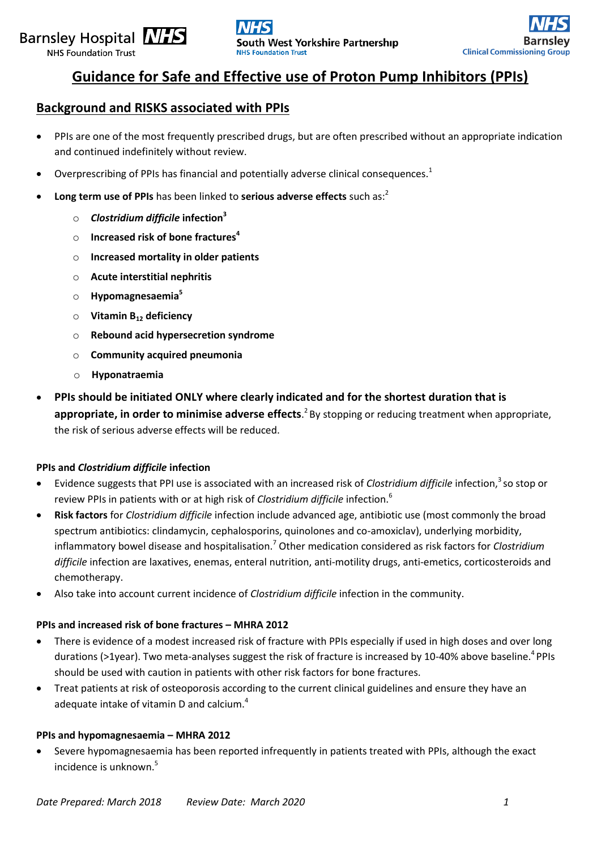# Barnsley Hospital **NHS**

NHS Foundation Trust





## **Guidance for Safe and Effective use of Proton Pump Inhibitors (PPIs)**

### **Background and RISKS associated with PPIs**

- PPIs are one of the most frequently prescribed drugs, but are often prescribed without an appropriate indication and continued indefinitely without review.
- Overprescribing of PPIs has financial and potentially adverse clinical consequences.<sup>1</sup>
- **Long term use of PPIs** has been linked to **serious adverse effects** such as: 2
	- o *Clostridium difficile* **infection<sup>3</sup>**
	- o **Increased risk of bone fractures<sup>4</sup>**
	- o **Increased mortality in older patients**
	- o **Acute interstitial nephritis**
	- o **Hypomagnesaemia<sup>5</sup>**
	- o **Vitamin B<sup>12</sup> deficiency**
	- o **Rebound acid hypersecretion syndrome**
	- o **Community acquired pneumonia**
	- o **Hyponatraemia**
- **PPIs should be initiated ONLY where clearly indicated and for the shortest duration that is**  appropriate, in order to minimise adverse effects.<sup>2</sup> By stopping or reducing treatment when appropriate, the risk of serious adverse effects will be reduced.

### **PPIs and** *Clostridium difficile* **infection**

- Evidence suggests that PPI use is associated with an increased risk of *Clostridium difficile* infection,<sup>3</sup> so stop or review PPIs in patients with or at high risk of *Clostridium difficile* infection.<sup>6</sup>
- **Risk factors** for *Clostridium difficile* infection include advanced age, antibiotic use (most commonly the broad spectrum antibiotics: clindamycin, cephalosporins, quinolones and co-amoxiclav), underlying morbidity, inflammatory bowel disease and hospitalisation.<sup>7</sup> Other medication considered as risk factors for *Clostridium difficile* infection are laxatives, enemas, enteral nutrition, anti-motility drugs, anti-emetics, corticosteroids and chemotherapy.
- Also take into account current incidence of *Clostridium difficile* infection in the community.

### **PPIs and increased risk of bone fractures – MHRA 2012**

- There is evidence of a modest increased risk of fracture with PPIs especially if used in high doses and over long durations (>1year). Two meta-analyses suggest the risk of fracture is increased by 10-40% above baseline.<sup>4</sup> PPIs should be used with caution in patients with other risk factors for bone fractures.
- Treat patients at risk of osteoporosis according to the current clinical guidelines and ensure they have an adequate intake of vitamin D and calcium.<sup>4</sup>

### **PPIs and hypomagnesaemia – MHRA 2012**

 Severe hypomagnesaemia has been reported infrequently in patients treated with PPIs, although the exact incidence is unknown.<sup>5</sup>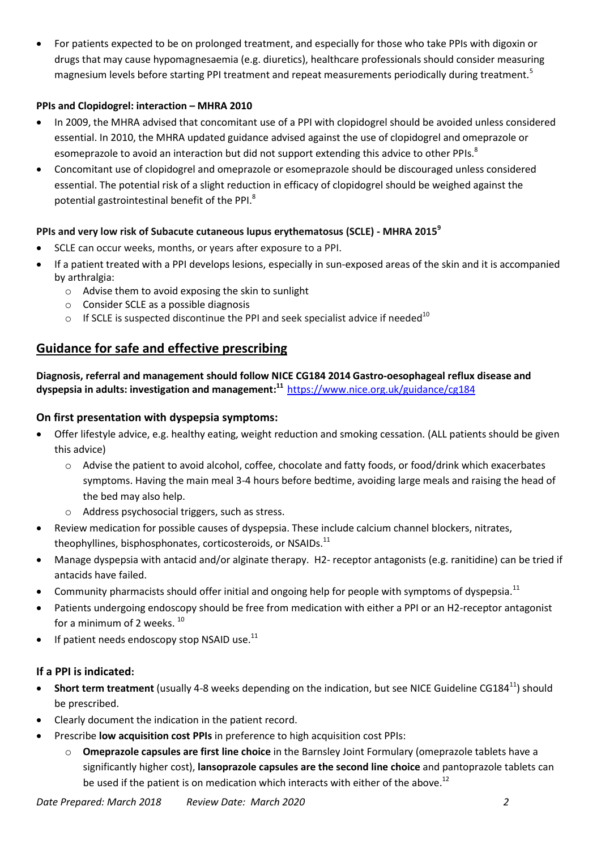For patients expected to be on prolonged treatment, and especially for those who take PPIs with digoxin or drugs that may cause hypomagnesaemia (e.g. diuretics), healthcare professionals should consider measuring magnesium levels before starting PPI treatment and repeat measurements periodically during treatment.<sup>5</sup>

### **PPIs and Clopidogrel: interaction – MHRA 2010**

- In 2009, the MHRA advised that concomitant use of a PPI with clopidogrel should be avoided unless considered essential. In 2010, the MHRA updated guidance advised against the use of clopidogrel and omeprazole or esomeprazole to avoid an interaction but did not support extending this advice to other PPIs.<sup>8</sup>
- Concomitant use of clopidogrel and omeprazole or esomeprazole should be discouraged unless considered essential. The potential risk of a slight reduction in efficacy of clopidogrel should be weighed against the potential gastrointestinal benefit of the PPI.<sup>8</sup>

### **PPIs and very low risk of Subacute cutaneous lupus erythematosus (SCLE) - MHRA 2015<sup>9</sup>**

- SCLE can occur weeks, months, or years after exposure to a PPI.
- If a patient treated with a PPI develops lesions, especially in sun-exposed areas of the skin and it is accompanied by arthralgia:
	- o Advise them to avoid exposing the skin to sunlight
	- o Consider SCLE as a possible diagnosis
	- o If SCLE is suspected discontinue the PPI and seek specialist advice if needed<sup>10</sup>

### **Guidance for safe and effective prescribing**

**Diagnosis, referral and management should follow NICE CG184 2014 Gastro-oesophageal reflux disease and dyspepsia in adults: investigation and management: <sup>11</sup>** <https://www.nice.org.uk/guidance/cg184>

### **On first presentation with dyspepsia symptoms:**

- Offer lifestyle advice, e.g. healthy eating, weight reduction and smoking cessation. (ALL patients should be given this advice)
	- o Advise the patient to avoid alcohol, coffee, chocolate and fatty foods, or food/drink which exacerbates symptoms. Having the main meal 3-4 hours before bedtime, avoiding large meals and raising the head of the bed may also help.
	- o Address psychosocial triggers, such as stress.
- Review medication for possible causes of dyspepsia. These include calcium channel blockers, nitrates, theophyllines, bisphosphonates, corticosteroids, or NSAIDs.<sup>11</sup>
- Manage dyspepsia with antacid and/or alginate therapy. H2- receptor antagonists (e.g. ranitidine) can be tried if antacids have failed.
- Community pharmacists should offer initial and ongoing help for people with symptoms of dyspepsia.<sup>11</sup>
- Patients undergoing endoscopy should be free from medication with either a PPI or an H2-receptor antagonist for a minimum of 2 weeks.<sup>10</sup>
- $\bullet$  If patient needs endoscopy stop NSAID use.<sup>11</sup>

### **If a PPI is indicated:**

- **Short term treatment** (usually 4-8 weeks depending on the indication, but see NICE Guideline CG184<sup>11</sup>) should be prescribed.
- Clearly document the indication in the patient record.
- Prescribe **low acquisition cost PPIs** in preference to high acquisition cost PPIs:
	- o **Omeprazole capsules are first line choice** in the Barnsley Joint Formulary (omeprazole tablets have a significantly higher cost), **lansoprazole capsules are the second line choice** and pantoprazole tablets can be used if the patient is on medication which interacts with either of the above.<sup>12</sup>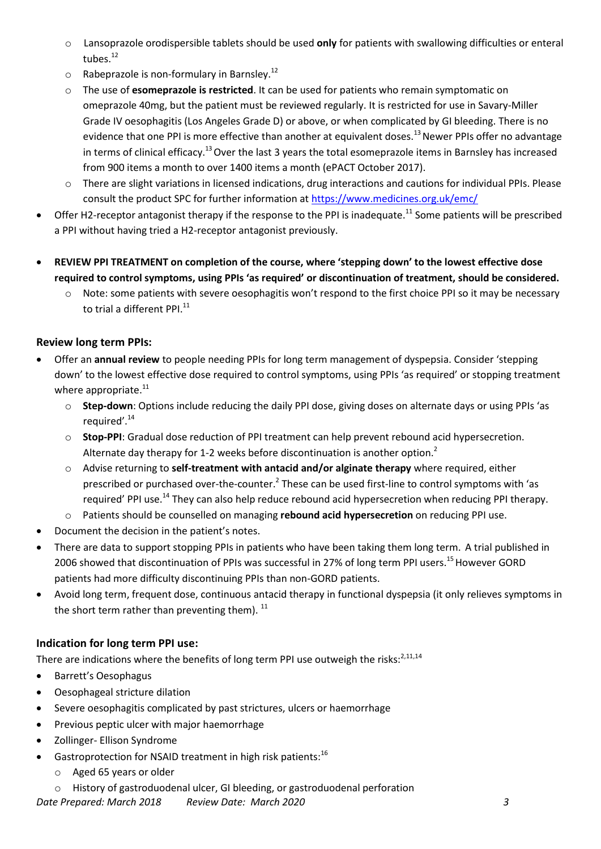- o Lansoprazole orodispersible tablets should be used **only** for patients with swallowing difficulties or enteral tubes.<sup>12</sup>
- oRabeprazole is non-formulary in Barnsley.<sup>12</sup>
- o The use of **esomeprazole is restricted**. It can be used for patients who remain symptomatic on omeprazole 40mg, but the patient must be reviewed regularly. It is restricted for use in Savary-Miller Grade IV oesophagitis (Los Angeles Grade D) or above, or when complicated by GI bleeding. There is no evidence that one PPI is more effective than another at equivalent doses.<sup>13</sup> Newer PPIs offer no advantage in terms of clinical efficacy.<sup>13</sup> Over the last 3 years the total esomeprazole items in Barnsley has increased from 900 items a month to over 1400 items a month (ePACT October 2017).
- oThere are slight variations in licensed indications, drug interactions and cautions for individual PPIs. Please consult the product SPC for further information a[t https://www.medicines.org.uk/emc/](https://www.medicines.org.uk/emc/)
- Offer H2-receptor antagonist therapy if the response to the PPI is inadequate.<sup>11</sup> Some patients will be prescribed a PPI without having tried a H2-receptor antagonist previously.
- **REVIEW PPI TREATMENT on completion of the course, where 'stepping down' to the lowest effective dose required to control symptoms, using PPIs 'as required' or discontinuation of treatment, should be considered.**
	- o Note: some patients with severe oesophagitis won't respond to the first choice PPI so it may be necessary to trial a different PPI.<sup>11</sup>

### **Review long term PPIs:**

- Offer an **annual review** to people needing PPIs for long term management of dyspepsia. Consider 'stepping down' to the lowest effective dose required to control symptoms, using PPIs 'as required' or stopping treatment where appropriate.<sup>11</sup>
	- o **Step-down**: Options include reducing the daily PPI dose, giving doses on alternate days or using PPIs 'as required'. 14
	- o **Stop-PPI**: Gradual dose reduction of PPI treatment can help prevent rebound acid hypersecretion. Alternate day therapy for 1-2 weeks before discontinuation is another option.<sup>2</sup>
	- o Advise returning to **self-treatment with antacid and/or alginate therapy** where required, either prescribed or purchased over-the-counter.<sup>2</sup> These can be used first-line to control symptoms with 'as required' PPI use.<sup>14</sup> They can also help reduce rebound acid hypersecretion when reducing PPI therapy.
	- o Patients should be counselled on managing **rebound acid hypersecretion** on reducing PPI use.
- Document the decision in the patient's notes.
- There are data to support stopping PPIs in patients who have been taking them long term. A trial published in 2006 showed that discontinuation of PPIs was successful in 27% of long term PPI users.<sup>15</sup> However GORD patients had more difficulty discontinuing PPIs than non-GORD patients.
- Avoid long term, frequent dose, continuous antacid therapy in functional dyspepsia (it only relieves symptoms in the short term rather than preventing them).  $^{11}$

### **Indication for long term PPI use:**

There are indications where the benefits of long term PPI use outweigh the risks: $^{2,11,14}$ 

- Barrett's Oesophagus
- Oesophageal stricture dilation
- Severe oesophagitis complicated by past strictures, ulcers or haemorrhage
- Previous peptic ulcer with major haemorrhage
- Zollinger- Ellison Syndrome
- Gastroprotection for NSAID treatment in high risk patients:<sup>16</sup>
	- o Aged 65 years or older
	- o History of gastroduodenal ulcer, GI bleeding, or gastroduodenal perforation